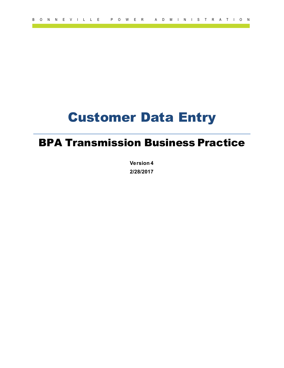# Customer Data Entry

## BPA Transmission Business Practice

**Version 4 2/28/2017**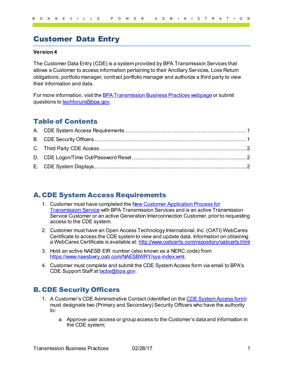### Customer Data Entry

#### **Version 4**

The Customer Data Entry (CDE) is a system provided by BPA Transmission Services that allows a Customer to access information pertaining to their Ancillary Services, Loss Return obligations, portfolio manager, contract portfolio manager and authorize a third party to view their information and data.

For more information, visit th[e BPA Transmission Business Practices webpage](https://www.bpa.gov/energy-and-services/transmission/business-practices) or submit questions t[o techforum@bpa.gov](mailto:techforum@bpa.gov).

#### Table of Contents

#### <span id="page-1-0"></span>A. CDE System Access Requirements

- 1. Customer must have completed the New Customer Application Process for [Transmission Service](https://www.bpa.gov/energy-and-services/transmission/becoming-a-transmission-services-customer) with BPA Transmission Services and is an active Transmission Service Customer or an active Generation Interconnection Customer, prior to requesting access to the CDE system.
- 2. Customer must have an Open Access Technology International, Inc. (OATI) WebCares Certificate to access the CDE system to view and update data. Information on obtaining a WebCares Certificate is available at[: http://www.oaticerts.com/repository/oaticerts.html](http://www.oaticerts.com/repository/oaticerts.html)
- 3. Hold an active NAESB EIR number (also known as a NERC code) from [https://www.naesbwry.oati.com/NAESBWRY/sys-index.wml.](https://www.naesbwry.oati.com/NAESBWRY/sys-index.wml)
- 4. Customer must complete and submit the CDE System Access form via email to BPA's CDE Support Staff at [txcbs@bpa.gov](mailto:txcbs@bpa.gov).

#### <span id="page-1-1"></span>B. CDE Security Officers

- 1. A Customer's CDE Administrative Contact (identified on th[e CDE System Access form\)](https://www.bpa.gov/energy-and-services/transmission/business-practices/forms) must designate two (Primary and Secondary) Security Officers who have the authority to:
	- a. Approve user access or group access to the Customer's data and information in the CDE system;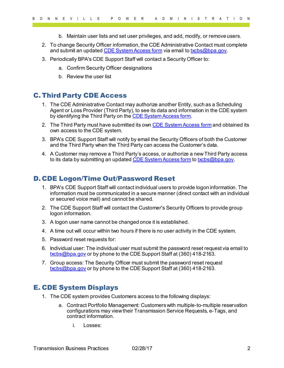- b. Maintain user lists and set user privileges, and add, modify, or remove users.
- 2. To change Security Officer information, the CDE Administrative Contact must complete and submit an update[d CDE System Access form](https://www.bpa.gov/energy-and-services/transmission/business-practices/forms) via email to [txcbs@bpa.gov.](mailto:txcbs@bpa.gov)
- 3. Periodically BPA's CDE Support Staff will contact a Security Officer to:
	- a. Confirm Security Officer designations
	- b. Review the user list

#### <span id="page-2-0"></span>C. Third Party CDE Access

- 1. The CDE Administrative Contact may authorize another Entity, such as a Scheduling Agent or Loss Provider (Third Party), to see its data and information in the CDE system by identifying the Third Party on th[e CDE System Access form.](https://www.bpa.gov/energy-and-services/transmission/business-practices/forms)
- 2. The Third Party must have submitted its ow[n CDE System Access form](https://www.bpa.gov/energy-and-services/transmission/business-practices/forms) and obtained its own access to the CDE system.
- 3. BPA's CDE Support Staff will notify by email the Security Officers of both the Customer and the Third Party when the Third Party can access the Customer's data.
- 4. A Customer may remove a Third Party's access, or authorize a new Third Party access to its data by submitting an update[d CDE System Access form](https://www.bpa.gov/energy-and-services/transmission/business-practices/forms) to [txcbs@bpa.gov.](mailto:txcbs@bpa.gov)

#### <span id="page-2-1"></span>D. CDE Logon/Time Out/Password Reset

- 1. BPA's CDE Support Staff will contact individual users to provide logon information. The information must be communicated in a secure manner (direct contact with an individual or secured voice mail) and cannot be shared.
- 2. The CDE Support Staff will contact the Customer's Security Officers to provide group logon information.
- 3. A logon user name cannot be changed once it is established.
- 4. A time out will occur within two hours if there is no user activity in the CDE system.
- 5. Password reset requests for:
- 6. Individual user: The individual user must submit the password reset request via email to [txcbs@bpa.gov](mailto:txcbs@bpa.gov) or by phone to the CDE Support Staff at (360) 418-2163.
- 7. Group access: The Security Officer must submit the password reset request [txcbs@bpa.gov](mailto:txcbs@bpa.gov) or by phone to the CDE Support Staff at (360) 418-2163.

#### <span id="page-2-2"></span>E. CDE System Displays

- 1. The CDE system provides Customers access to the following displays:
	- a. Contract Portfolio Management: Customers with multiple-to-multiple reservation configurations may view their Transmission Service Requests, e-Tags, and contract information.
		- i. Losses: